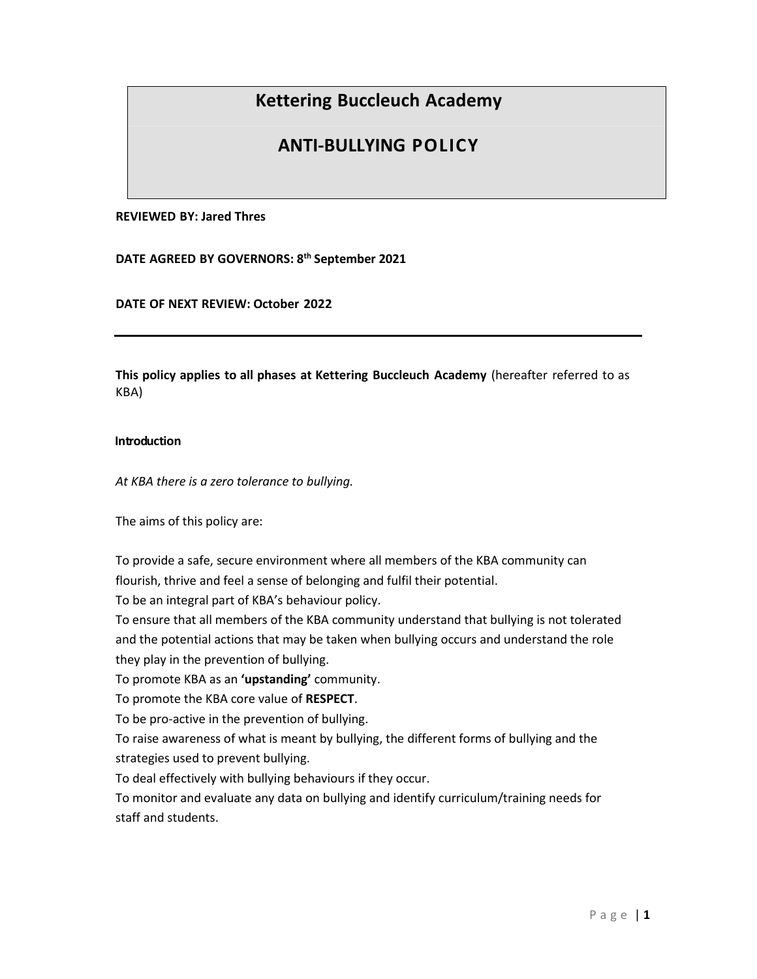# **Kettering Buccleuch Academy**

# **ANTI‐BULLYING POLICY**

#### **REVIEWED BY: Jared Thres**

**DATE AGREED BY GOVERNORS: 8 th September 2021**

**DATE OF NEXT REVIEW: October 2022**

**This policy applies to all phases at Kettering Buccleuch Academy** (hereafter referred to as KBA)

#### **Introduction**

*At KBA there is a zero tolerance to bullying.*

The aims of this policy are:

To provide a safe, secure environment where all members of the KBA community can flourish, thrive and feel a sense of belonging and fulfil their potential.

To be an integral part of KBA's behaviour policy.

To ensure that all members of the KBA community understand that bullying is not tolerated and the potential actions that may be taken when bullying occurs and understand the role they play in the prevention of bullying.

To promote KBA as an **'upstanding'** community.

To promote the KBA core value of **RESPECT**.

To be pro-active in the prevention of bullying.

To raise awareness of what is meant by bullying, the different forms of bullying and the strategies used to prevent bullying.

To deal effectively with bullying behaviours if they occur.

To monitor and evaluate any data on bullying and identify curriculum/training needs for staff and students.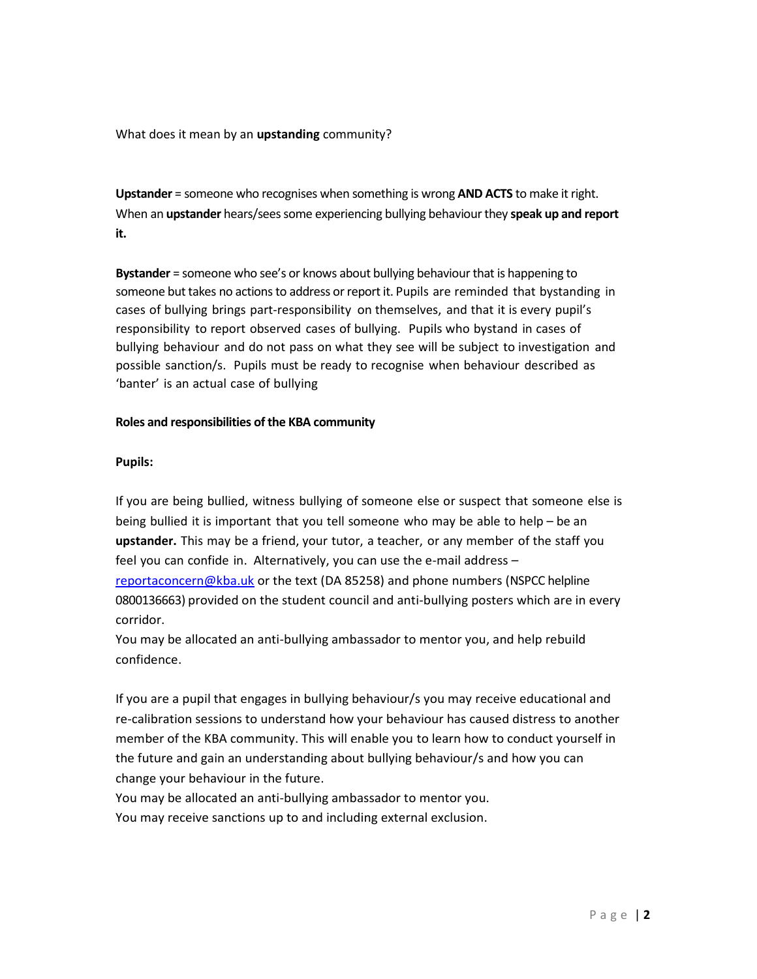What does it mean by an **upstanding** community?

**Upstander** = someone who recognises when something is wrong **AND ACTS** to make it right. When an **upstander** hears/sees some experiencing bullying behaviour they **speak up and report it.**

**Bystander** = someone who see's or knows about bullying behaviour that is happening to someone but takes no actions to address or report it. Pupils are reminded that bystanding in cases of bullying brings part‐responsibility on themselves, and that it is every pupil's responsibility to report observed cases of bullying. Pupils who bystand in cases of bullying behaviour and do not pass on what they see will be subject to investigation and possible sanction/s. Pupils must be ready to recognise when behaviour described as 'banter' is an actual case of bullying

#### **Roles and responsibilities of the KBA community**

#### **Pupils:**

If you are being bullied, witness bullying of someone else or suspect that someone else is being bullied it is important that you tell someone who may be able to help – be an **upstander.** This may be a friend, your tutor, a teacher, or any member of the staff you feel you can confide in. Alternatively, you can use the e-mail address – [reportaconcern@kba.uk](mailto:reportaconcern@kba.uk) or the text (DA 85258) and phone numbers (NSPCC helpline 0800136663) provided on the student council and anti-bullying posters which are in every corridor.

You may be allocated an anti-bullying ambassador to mentor you, and help rebuild confidence.

If you are a pupil that engages in bullying behaviour/s you may receive educational and re-calibration sessions to understand how your behaviour has caused distress to another member of the KBA community. This will enable you to learn how to conduct yourself in the future and gain an understanding about bullying behaviour/s and how you can change your behaviour in the future.

You may be allocated an anti-bullying ambassador to mentor you. You may receive sanctions up to and including external exclusion.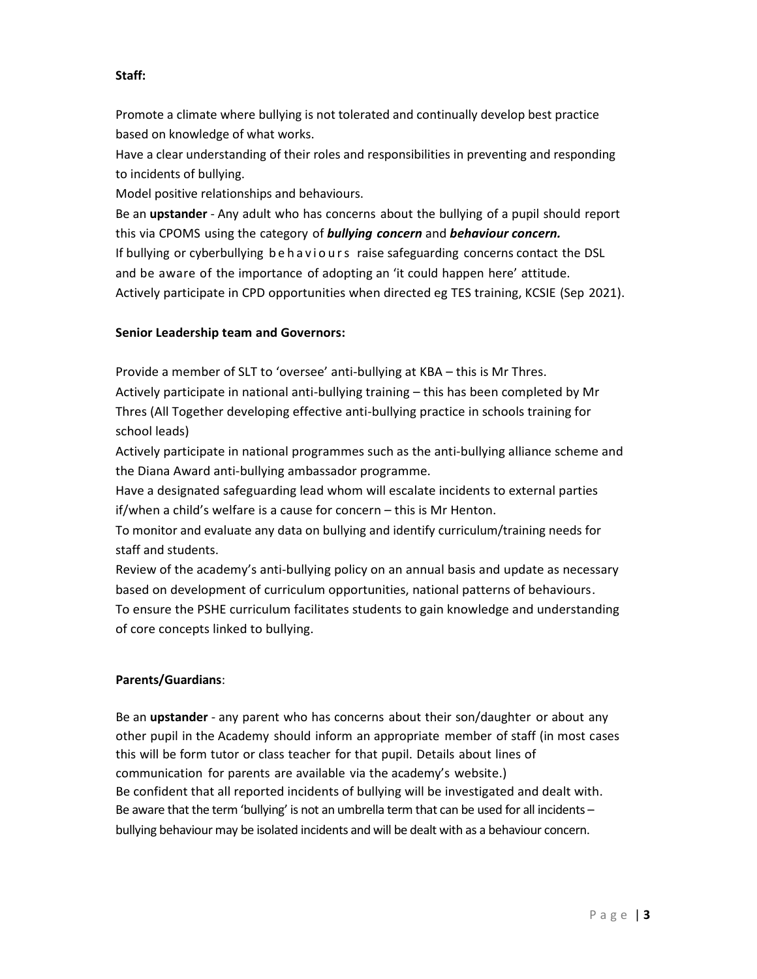# **Staff:**

Promote a climate where bullying is not tolerated and continually develop best practice based on knowledge of what works.

Have a clear understanding of their roles and responsibilities in preventing and responding to incidents of bullying.

Model positive relationships and behaviours.

Be an **upstander** - Any adult who has concerns about the bullying of a pupil should report this via CPOMS using the category of *bullying concern* and *behaviour concern.* If bullying or cyberbullying behaviours raise safeguarding concerns contact the DSL and be aware of the importance of adopting an 'it could happen here' attitude. Actively participate in CPD opportunities when directed eg TES training, KCSIE (Sep 2021).

# **Senior Leadership team and Governors:**

Provide a member of SLT to 'oversee' anti-bullying at KBA – this is Mr Thres. Actively participate in national anti-bullying training – this has been completed by Mr Thres (All Together developing effective anti-bullying practice in schools training for school leads)

Actively participate in national programmes such as the anti-bullying alliance scheme and the Diana Award anti-bullying ambassador programme.

Have a designated safeguarding lead whom will escalate incidents to external parties if/when a child's welfare is a cause for concern – this is Mr Henton.

To monitor and evaluate any data on bullying and identify curriculum/training needs for staff and students.

Review of the academy's anti-bullying policy on an annual basis and update as necessary based on development of curriculum opportunities, national patterns of behaviours. To ensure the PSHE curriculum facilitates students to gain knowledge and understanding of core concepts linked to bullying.

# **Parents/Guardians**:

Be an **upstander** - any parent who has concerns about their son/daughter or about any other pupil in the Academy should inform an appropriate member of staff (in most cases this will be form tutor or class teacher for that pupil. Details about lines of communication for parents are available via the academy's website.) Be confident that all reported incidents of bullying will be investigated and dealt with. Be aware that the term 'bullying' is not an umbrella term that can be used for all incidents – bullying behaviour may be isolated incidents and will be dealt with as a behaviour concern.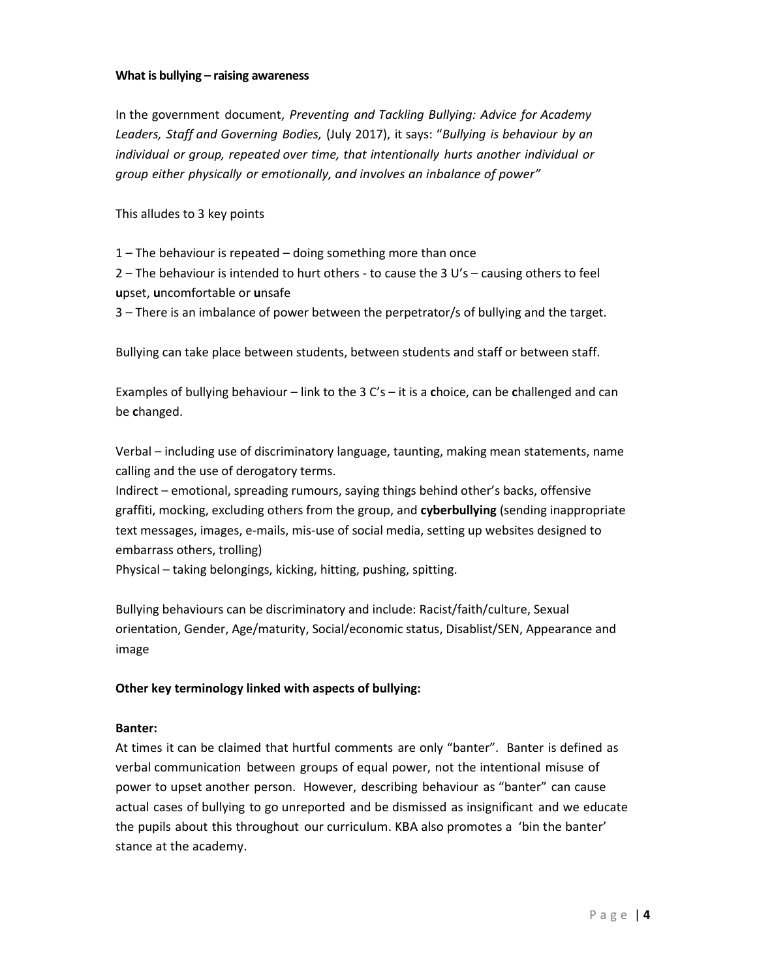#### **What is bullying – raising awareness**

In the government document, *Preventing and Tackling Bullying: Advice for Academy Leaders, Staff and Governing Bodies,* (July 2017), it says: "*Bullying is behaviour by an individual or group, repeated over time, that intentionally hurts another individual or group either physically or emotionally, and involves an inbalance of power"*

This alludes to 3 key points

1 – The behaviour is repeated – doing something more than once

2 – The behaviour is intended to hurt others - to cause the 3 U's – causing others to feel **u**pset, **u**ncomfortable or **u**nsafe

3 – There is an imbalance of power between the perpetrator/s of bullying and the target.

Bullying can take place between students, between students and staff or between staff.

Examples of bullying behaviour – link to the 3 C's – it is a **c**hoice, can be **c**hallenged and can be **c**hanged.

Verbal – including use of discriminatory language, taunting, making mean statements, name calling and the use of derogatory terms.

Indirect – emotional, spreading rumours, saying things behind other's backs, offensive graffiti, mocking, excluding others from the group, and **cyberbullying** (sending inappropriate text messages, images, e-mails, mis-use of social media, setting up websites designed to embarrass others, trolling)

Physical – taking belongings, kicking, hitting, pushing, spitting.

Bullying behaviours can be discriminatory and include: Racist/faith/culture, Sexual orientation, Gender, Age/maturity, Social/economic status, Disablist/SEN, Appearance and image

## **Other key terminology linked with aspects of bullying:**

#### **Banter:**

At times it can be claimed that hurtful comments are only "banter". Banter is defined as verbal communication between groups of equal power, not the intentional misuse of power to upset another person. However, describing behaviour as "banter" can cause actual cases of bullying to go unreported and be dismissed as insignificant and we educate the pupils about this throughout our curriculum. KBA also promotes a 'bin the banter' stance at the academy.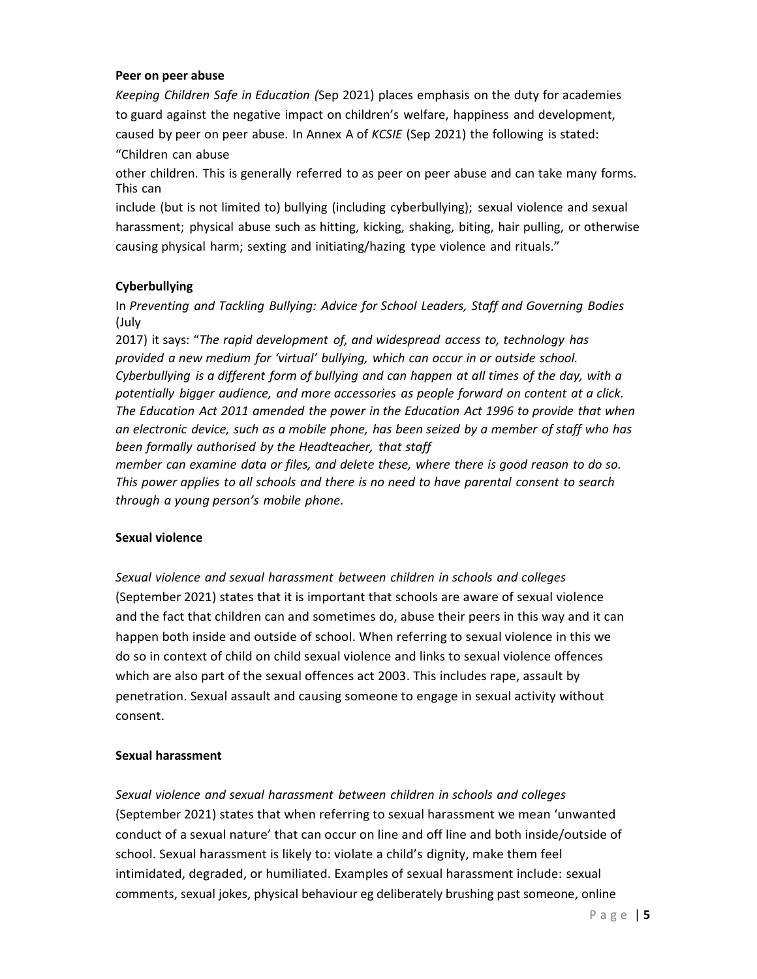#### **Peer on peer abuse**

*Keeping Children Safe in Education (*Sep 2021) places emphasis on the duty for academies to guard against the negative impact on children's welfare, happiness and development, caused by peer on peer abuse. In Annex A of *KCSIE* (Sep 2021) the following is stated: "Children can abuse

other children. This is generally referred to as peer on peer abuse and can take many forms. This can

include (but is not limited to) bullying (including cyberbullying); sexual violence and sexual harassment; physical abuse such as hitting, kicking, shaking, biting, hair pulling, or otherwise causing physical harm; sexting and initiating/hazing type violence and rituals."

## **Cyberbullying**

In *Preventing and Tackling Bullying: Advice for School Leaders, Staff and Governing Bodies* (July

2017) it says: "*The rapid development of, and widespread access to, technology has provided a new medium for 'virtual' bullying, which can occur in or outside school. Cyberbullying is a different form of bullying and can happen at all times of the day, with a potentially bigger audience, and more accessories as people forward on content at a click. The Education Act 2011 amended the power in the Education Act 1996 to provide that when an electronic device, such as a mobile phone, has been seized by a member of staff who has been formally authorised by the Headteacher, that staff*

*member can examine data or files, and delete these, where there is good reason to do so. This power applies to all schools and there is no need to have parental consent to search through a young person's mobile phone.*

## **Sexual violence**

*Sexual violence and sexual harassment between children in schools and colleges* (September 2021) states that it is important that schools are aware of sexual violence and the fact that children can and sometimes do, abuse their peers in this way and it can happen both inside and outside of school. When referring to sexual violence in this we do so in context of child on child sexual violence and links to sexual violence offences which are also part of the sexual offences act 2003. This includes rape, assault by penetration. Sexual assault and causing someone to engage in sexual activity without consent.

## **Sexual harassment**

*Sexual violence and sexual harassment between children in schools and colleges* (September 2021) states that when referring to sexual harassment we mean 'unwanted conduct of a sexual nature' that can occur on line and off line and both inside/outside of school. Sexual harassment is likely to: violate a child's dignity, make them feel intimidated, degraded, or humiliated. Examples of sexual harassment include: sexual comments, sexual jokes, physical behaviour eg deliberately brushing past someone, online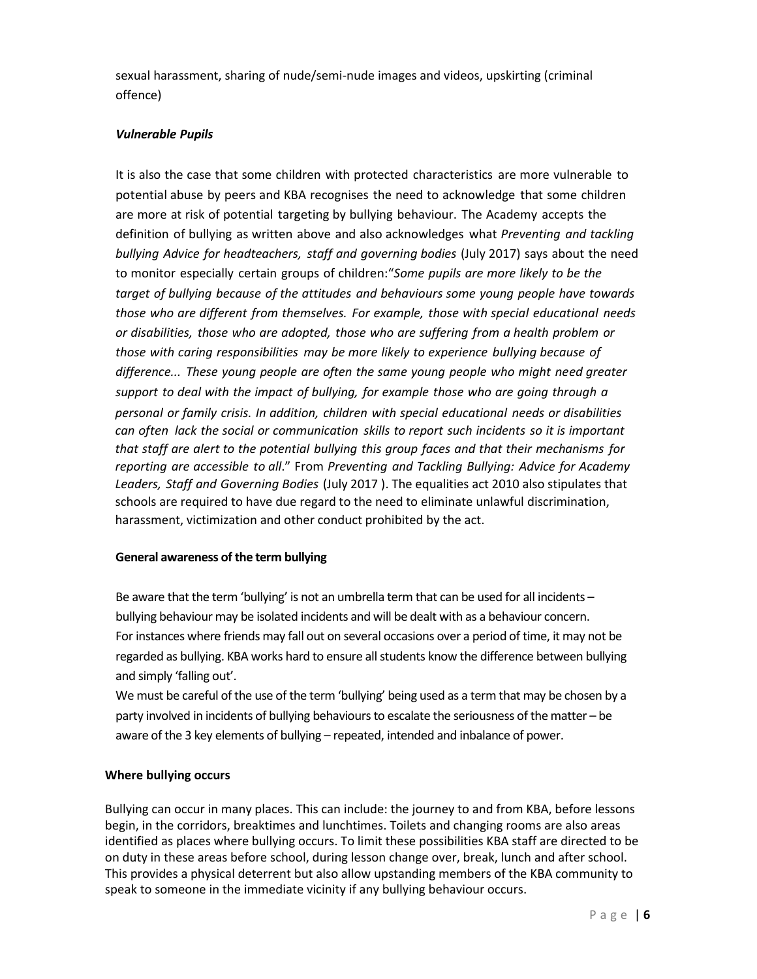sexual harassment, sharing of nude/semi-nude images and videos, upskirting (criminal offence)

# *Vulnerable Pupils*

It is also the case that some children with protected characteristics are more vulnerable to potential abuse by peers and KBA recognises the need to acknowledge that some children are more at risk of potential targeting by bullying behaviour. The Academy accepts the definition of bullying as written above and also acknowledges what *Preventing and tackling bullying Advice for headteachers, staff and governing bodies* (July 2017) says about the need to monitor especially certain groups of children:"*Some pupils are more likely to be the target of bullying because of the attitudes and behaviours some young people have towards those who are different from themselves. For example, those with special educational needs or disabilities, those who are adopted, those who are suffering from a health problem or those with caring responsibilities may be more likely to experience bullying because of difference... These young people are often the same young people who might need greater support to deal with the impact of bullying, for example those who are going through a personal or family crisis. In addition, children with special educational needs or disabilities can often lack the social or communication skills to report such incidents so it is important that staff are alert to the potential bullying this group faces and that their mechanisms for reporting are accessible to all*." From *Preventing and Tackling Bullying: Advice for Academy Leaders, Staff and Governing Bodies* (July 2017 ). The equalities act 2010 also stipulates that schools are required to have due regard to the need to eliminate unlawful discrimination, harassment, victimization and other conduct prohibited by the act.

## **General awareness of the term bullying**

Be aware that the term 'bullying' is not an umbrella term that can be used for all incidents – bullying behaviour may be isolated incidents and will be dealt with as a behaviour concern. For instances where friends may fall out on several occasions over a period of time, it may not be regarded as bullying. KBA works hard to ensure all students know the difference between bullying and simply 'falling out'.

We must be careful of the use of the term 'bullying' being used as a term that may be chosen by a party involved in incidents of bullying behaviours to escalate the seriousness of the matter – be aware of the 3 key elements of bullying – repeated, intended and inbalance of power.

## **Where bullying occurs**

Bullying can occur in many places. This can include: the journey to and from KBA, before lessons begin, in the corridors, breaktimes and lunchtimes. Toilets and changing rooms are also areas identified as places where bullying occurs. To limit these possibilities KBA staff are directed to be on duty in these areas before school, during lesson change over, break, lunch and after school. This provides a physical deterrent but also allow upstanding members of the KBA community to speak to someone in the immediate vicinity if any bullying behaviour occurs.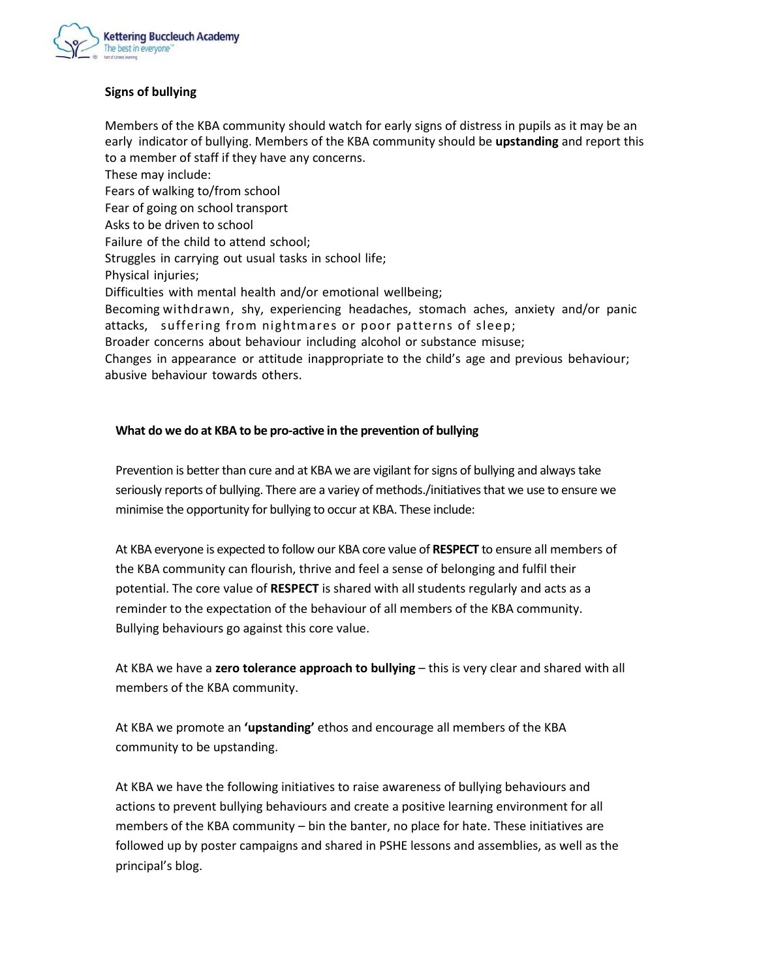

# **Signs of bullying**

Members of the KBA community should watch for early signs of distress in pupils as it may be an early indicator of bullying. Members of the KBA community should be **upstanding** and report this to a member of staff if they have any concerns.

These may include: Fears of walking to/from school Fear of going on school transport Asks to be driven to school Failure of the child to attend school; Struggles in carrying out usual tasks in school life; Physical injuries; Difficulties with mental health and/or emotional wellbeing; Becoming withdrawn, shy, experiencing headaches, stomach aches, anxiety and/or panic attacks, suffering from nightmares or poor patterns of sleep; Broader concerns about behaviour including alcohol or substance misuse; Changes in appearance or attitude inappropriate to the child's age and previous behaviour; abusive behaviour towards others.

#### **What do we do at KBA to be pro-active in the prevention of bullying**

Prevention is better than cure and at KBA we are vigilant for signs of bullying and always take seriously reports of bullying. There are a variey of methods./initiatives that we use to ensure we minimise the opportunity for bullying to occur at KBA. These include:

At KBA everyone is expected to follow our KBA core value of **RESPECT** to ensure all members of the KBA community can flourish, thrive and feel a sense of belonging and fulfil their potential. The core value of **RESPECT** is shared with all students regularly and acts as a reminder to the expectation of the behaviour of all members of the KBA community. Bullying behaviours go against this core value.

At KBA we have a **zero tolerance approach to bullying** – this is very clear and shared with all members of the KBA community.

At KBA we promote an **'upstanding'** ethos and encourage all members of the KBA community to be upstanding.

At KBA we have the following initiatives to raise awareness of bullying behaviours and actions to prevent bullying behaviours and create a positive learning environment for all members of the KBA community – bin the banter, no place for hate. These initiatives are followed up by poster campaigns and shared in PSHE lessons and assemblies, as well as the principal's blog.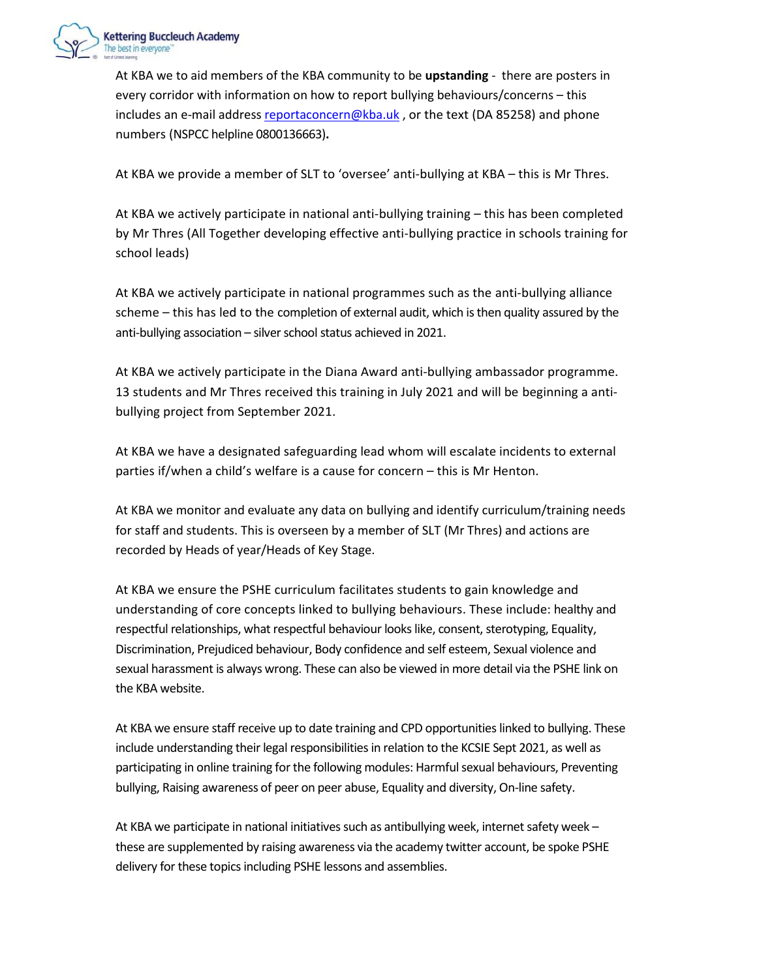

At KBA we to aid members of the KBA community to be **upstanding** - there are posters in every corridor with information on how to report bullying behaviours/concerns – this includes an e-mail address [reportaconcern@kba.uk](mailto:reportaconcern@kba.uk), or the text (DA 85258) and phone numbers (NSPCC helpline 0800136663)**.**

At KBA we provide a member of SLT to 'oversee' anti-bullying at KBA – this is Mr Thres.

At KBA we actively participate in national anti-bullying training – this has been completed by Mr Thres (All Together developing effective anti-bullying practice in schools training for school leads)

At KBA we actively participate in national programmes such as the anti-bullying alliance scheme – this has led to the completion of external audit, which is then quality assured by the anti-bullying association - silver school status achieved in 2021.

At KBA we actively participate in the Diana Award anti-bullying ambassador programme. 13 students and Mr Thres received this training in July 2021 and will be beginning a antibullying project from September 2021.

At KBA we have a designated safeguarding lead whom will escalate incidents to external parties if/when a child's welfare is a cause for concern – this is Mr Henton.

At KBA we monitor and evaluate any data on bullying and identify curriculum/training needs for staff and students. This is overseen by a member of SLT (Mr Thres) and actions are recorded by Heads of year/Heads of Key Stage.

At KBA we ensure the PSHE curriculum facilitates students to gain knowledge and understanding of core concepts linked to bullying behaviours. These include: healthy and respectful relationships, what respectful behaviour looks like, consent, sterotyping, Equality, Discrimination, Prejudiced behaviour, Body confidence and self esteem, Sexual violence and sexual harassment is always wrong. These can also be viewed in more detail via the PSHE link on the KBA website.

At KBA we ensure staff receive up to date training and CPD opportunities linked to bullying. These include understanding their legal responsibilities in relation to the KCSIE Sept 2021, as well as participating in online training for the following modules: Harmful sexual behaviours, Preventing bullying, Raising awareness of peer on peer abuse, Equality and diversity, On-line safety.

At KBA we participate in national initiatives such as antibullying week, internet safety week – these are supplemented by raising awareness via the academy twitter account, be spoke PSHE delivery for these topics including PSHE lessons and assemblies.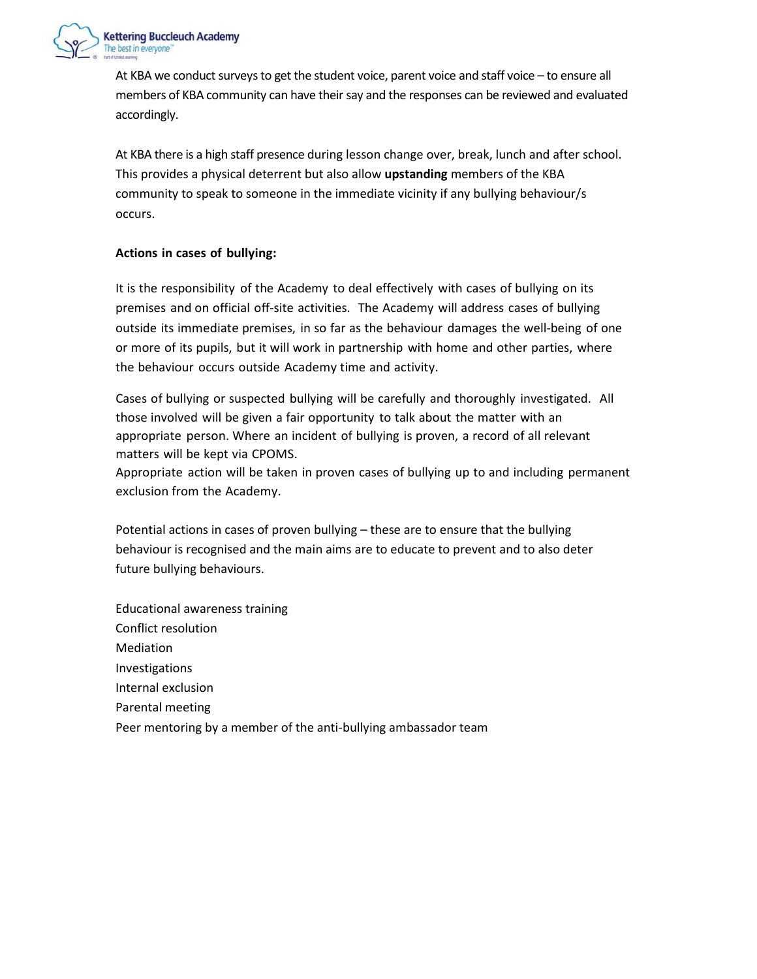

At KBA we conduct surveys to get the student voice, parent voice and staff voice – to ensure all members of KBA community can have their say and the responses can be reviewed and evaluated accordingly.

At KBA there is a high staff presence during lesson change over, break, lunch and after school. This provides a physical deterrent but also allow **upstanding** members of the KBA community to speak to someone in the immediate vicinity if any bullying behaviour/s occurs.

## **Actions in cases of bullying:**

It is the responsibility of the Academy to deal effectively with cases of bullying on its premises and on official off-site activities. The Academy will address cases of bullying outside its immediate premises, in so far as the behaviour damages the well‐being of one or more of its pupils, but it will work in partnership with home and other parties, where the behaviour occurs outside Academy time and activity.

Cases of bullying or suspected bullying will be carefully and thoroughly investigated. All those involved will be given a fair opportunity to talk about the matter with an appropriate person. Where an incident of bullying is proven, a record of all relevant matters will be kept via CPOMS.

Appropriate action will be taken in proven cases of bullying up to and including permanent exclusion from the Academy.

Potential actions in cases of proven bullying – these are to ensure that the bullying behaviour is recognised and the main aims are to educate to prevent and to also deter future bullying behaviours.

Educational awareness training Conflict resolution Mediation Investigations Internal exclusion Parental meeting Peer mentoring by a member of the anti-bullying ambassador team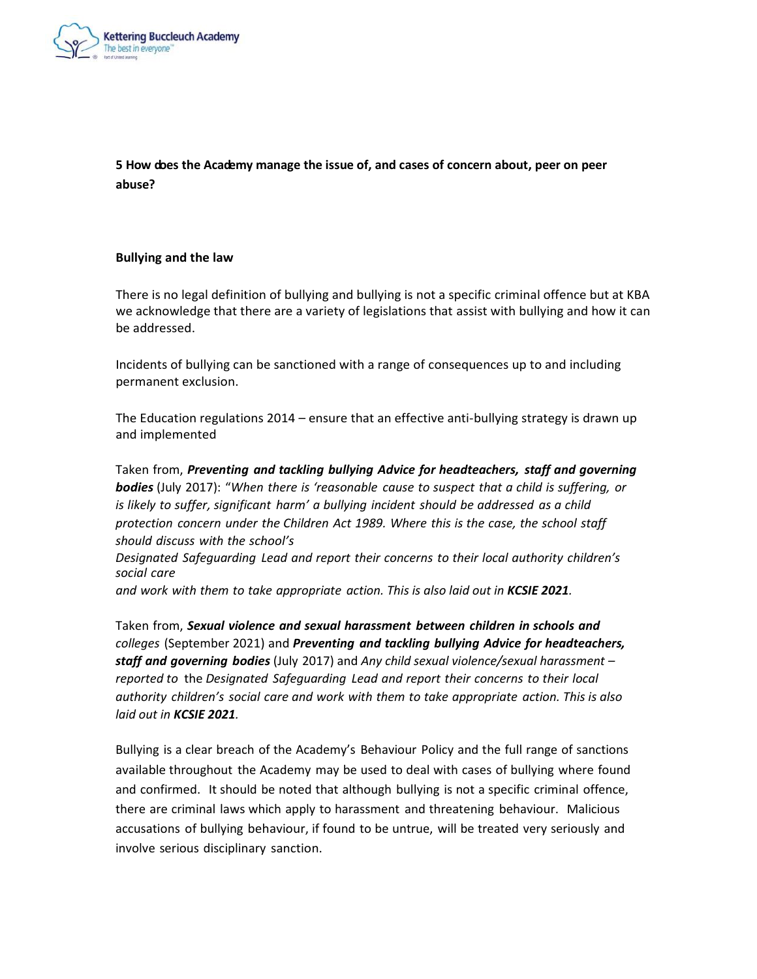

**5 How does the Academy manage the issue of, and cases of concern about, peer on peer abuse?**

## **Bullying and the law**

There is no legal definition of bullying and bullying is not a specific criminal offence but at KBA we acknowledge that there are a variety of legislations that assist with bullying and how it can be addressed.

Incidents of bullying can be sanctioned with a range of consequences up to and including permanent exclusion.

The Education regulations 2014 – ensure that an effective anti-bullying strategy is drawn up and implemented

Taken from, *Preventing and tackling bullying Advice for headteachers, staff and governing bodies* (July 2017): "*When there is 'reasonable cause to suspect that a child is suffering, or is likely to suffer, significant harm' a bullying incident should be addressed as a child protection concern under the Children Act 1989. Where this is the case, the school staff should discuss with the school's*

*Designated Safeguarding Lead and report their concerns to their local authority children's social care*

*and work with them to take appropriate action. This is also laid out in KCSIE 2021.*

Taken from, *Sexual violence and sexual harassment between children in schools and colleges* (September 2021) and *Preventing and tackling bullying Advice for headteachers, staff and governing bodies* (July 2017) and *Any child sexual violence/sexual harassment – reported to* the *Designated Safeguarding Lead and report their concerns to their local authority children's social care and work with them to take appropriate action. This is also laid out in KCSIE 2021.*

Bullying is a clear breach of the Academy's Behaviour Policy and the full range of sanctions available throughout the Academy may be used to deal with cases of bullying where found and confirmed. It should be noted that although bullying is not a specific criminal offence, there are criminal laws which apply to harassment and threatening behaviour. Malicious accusations of bullying behaviour, if found to be untrue, will be treated very seriously and involve serious disciplinary sanction.